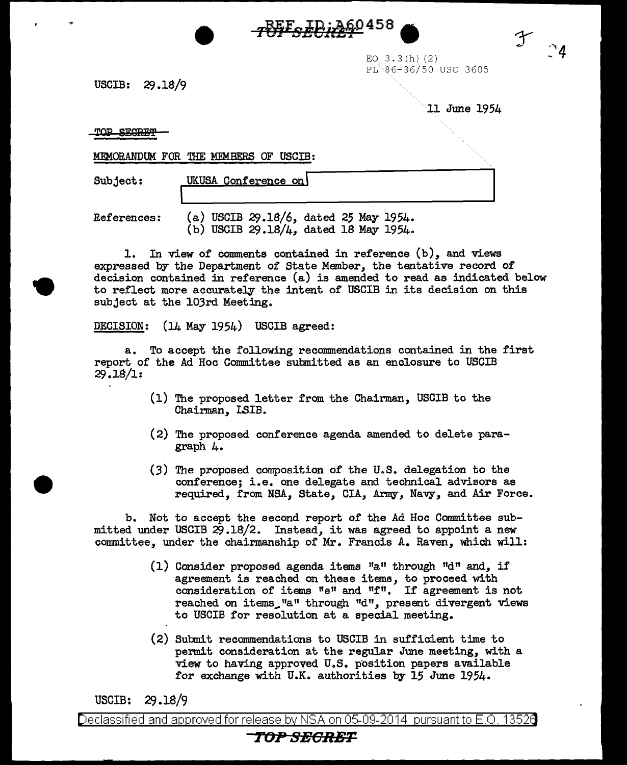-REE LD: 260458

EO 3.3(h) (2)  $PL$  86-36/50 USC 3605

 $USCIB: 29.18/9$ 

11 June 1954

Y

 $\degree$ 4

TOP SEGRET

MEMORANDUM FOR THE MEMBERS OF USCIB:

Subject: UKUSA Conference on  $\overline{\Box}$ 

References: (a) USCIB  $29.18/6$ , dated 25 May 1954. (b) USCIB 29.18/4, dated 18 May 1954.

l. In view of comments contained in reference (b), and views expressed by the Department of State Member, the tentative record of decision contained in reference (a) is amended to read as indicated below to reflect more accurately the intent of USCIB in its decision on this subject at the l03rd Meeting.

DECISION: (14 May 1954) USCIB agreed:

a. To accept the following recommendations contained in the first report of the Ad Hoc Committee submitted as an enclosure to USCIB 29.lS/l:

- (1) The proposed letter from the Chairman, USCIB to the Chairman, LSIB.
- (2) The proposed conference agenda amended to delete paragraph 4.
- (3) The proposed composition of the U.S. delegation to the conference; i.e. one delegate and technical advisors as required, from NSA, State, CIA, Army, Navy, and Air Force.

b. Not to accept the second report of the Ad Hoc Committee submitted under USCIB 29.lS/2. Instead, it was agreed to appoint a new committee, under the chairmanship of Mr. Francis A. Raven, which will:

- (1) Consider proposed agenda items  $a^n$  through  $d^n$  and, if agreement is reached on these items, to proceed with consideration of items "e" and "f". If agreement is not reached on items<sub>s</sub>"a" through "d", present divergent views to USCIB for resolution at a special meeting.
- (2) Submit recommendations to USCIB in sufficient time to permit consideration at the regular June meeting, with a view to having approved U.S. position papers available for exchange with U.K. authorities by 15 June 1954.

USCIB: *CJ* .18/9

Declassified and approved for release by NSA on 05-09-2014 pursuant to E.O. 1352a

## *TOPSE6RBT*